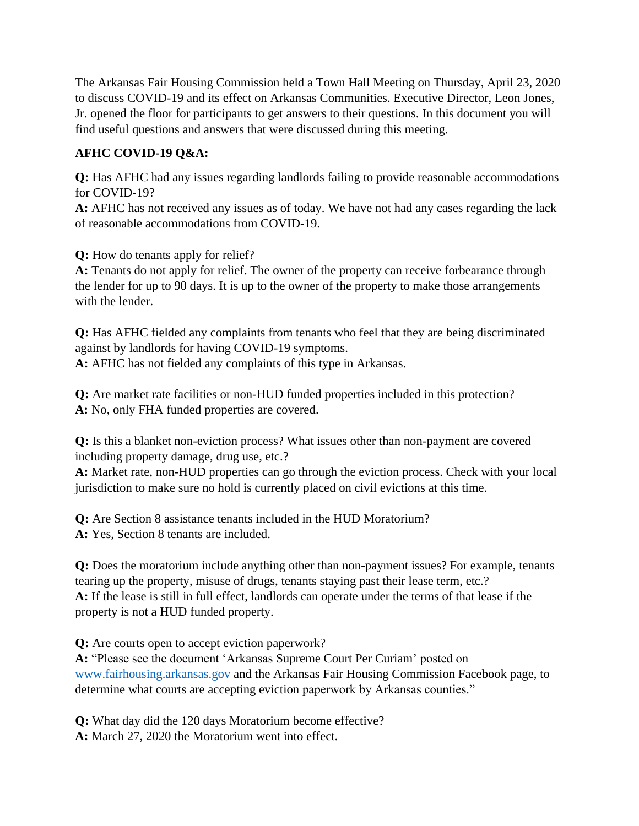The Arkansas Fair Housing Commission held a Town Hall Meeting on Thursday, April 23, 2020 to discuss COVID-19 and its effect on Arkansas Communities. Executive Director, Leon Jones, Jr. opened the floor for participants to get answers to their questions. In this document you will find useful questions and answers that were discussed during this meeting.

## **AFHC COVID-19 Q&A:**

**Q:** Has AFHC had any issues regarding landlords failing to provide reasonable accommodations for COVID-19?

**A:** AFHC has not received any issues as of today. We have not had any cases regarding the lack of reasonable accommodations from COVID-19.

**Q:** How do tenants apply for relief?

**A:** Tenants do not apply for relief. The owner of the property can receive forbearance through the lender for up to 90 days. It is up to the owner of the property to make those arrangements with the lender.

**Q:** Has AFHC fielded any complaints from tenants who feel that they are being discriminated against by landlords for having COVID-19 symptoms.

**A:** AFHC has not fielded any complaints of this type in Arkansas.

**Q:** Are market rate facilities or non-HUD funded properties included in this protection? **A:** No, only FHA funded properties are covered.

**Q:** Is this a blanket non-eviction process? What issues other than non-payment are covered including property damage, drug use, etc.?

**A:** Market rate, non-HUD properties can go through the eviction process. Check with your local jurisdiction to make sure no hold is currently placed on civil evictions at this time.

**Q:** Are Section 8 assistance tenants included in the HUD Moratorium? **A:** Yes, Section 8 tenants are included.

**Q:** Does the moratorium include anything other than non-payment issues? For example, tenants tearing up the property, misuse of drugs, tenants staying past their lease term, etc.? **A:** If the lease is still in full effect, landlords can operate under the terms of that lease if the property is not a HUD funded property.

**Q:** Are courts open to accept eviction paperwork?

**A:** "Please see the document 'Arkansas Supreme Court Per Curiam' posted on [www.fairhousing.arkansas.gov](http://www.fairhousing.arkansas.gov/) and the Arkansas Fair Housing Commission Facebook page, to determine what courts are accepting eviction paperwork by Arkansas counties."

**Q:** What day did the 120 days Moratorium become effective? **A:** March 27, 2020 the Moratorium went into effect.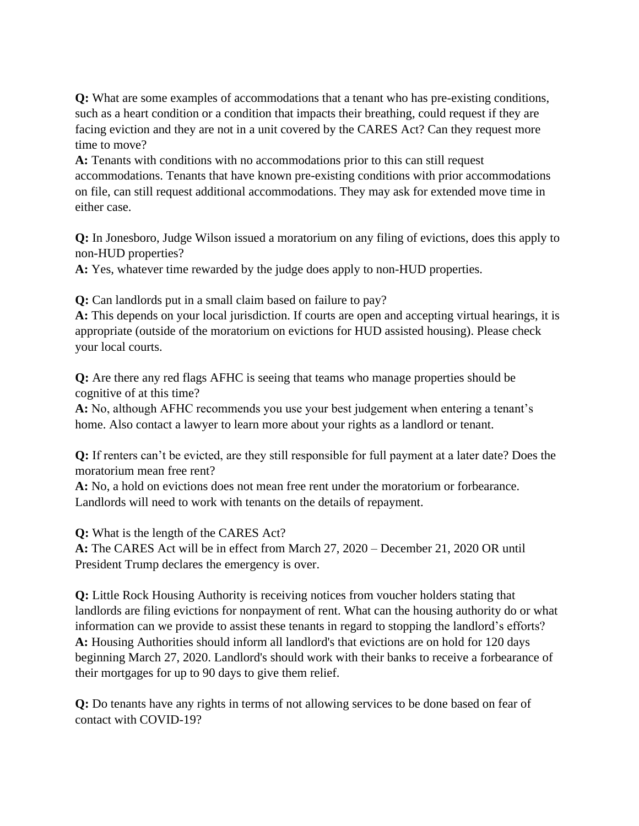**Q:** What are some examples of accommodations that a tenant who has pre-existing conditions, such as a heart condition or a condition that impacts their breathing, could request if they are facing eviction and they are not in a unit covered by the CARES Act? Can they request more time to move?

**A:** Tenants with conditions with no accommodations prior to this can still request accommodations. Tenants that have known pre-existing conditions with prior accommodations on file, can still request additional accommodations. They may ask for extended move time in either case.

**Q:** In Jonesboro, Judge Wilson issued a moratorium on any filing of evictions, does this apply to non-HUD properties?

**A:** Yes, whatever time rewarded by the judge does apply to non-HUD properties.

**Q:** Can landlords put in a small claim based on failure to pay?

**A:** This depends on your local jurisdiction. If courts are open and accepting virtual hearings, it is appropriate (outside of the moratorium on evictions for HUD assisted housing). Please check your local courts.

**Q:** Are there any red flags AFHC is seeing that teams who manage properties should be cognitive of at this time?

**A:** No, although AFHC recommends you use your best judgement when entering a tenant's home. Also contact a lawyer to learn more about your rights as a landlord or tenant.

**Q:** If renters can't be evicted, are they still responsible for full payment at a later date? Does the moratorium mean free rent?

**A:** No, a hold on evictions does not mean free rent under the moratorium or forbearance. Landlords will need to work with tenants on the details of repayment.

**Q:** What is the length of the CARES Act?

**A:** The CARES Act will be in effect from March 27, 2020 – December 21, 2020 OR until President Trump declares the emergency is over.

**Q:** Little Rock Housing Authority is receiving notices from voucher holders stating that landlords are filing evictions for nonpayment of rent. What can the housing authority do or what information can we provide to assist these tenants in regard to stopping the landlord's efforts? **A:** Housing Authorities should inform all landlord's that evictions are on hold for 120 days beginning March 27, 2020. Landlord's should work with their banks to receive a forbearance of their mortgages for up to 90 days to give them relief.

**Q:** Do tenants have any rights in terms of not allowing services to be done based on fear of contact with COVID-19?